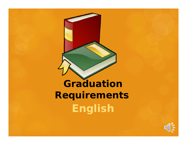# **Graduation Requirements English**

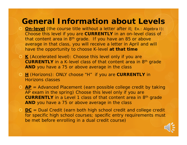#### **General Information about Levels**

- **On-level** (the course title without a letter after it; *Ex.: Algebra I* ): Choose this level if you are **CURRENTLY** in an on-level class of that content area in 8<sup>th</sup> grade. If you have an 85 or above average in that class, you will receive a letter in April and will have the opportunity to choose K-level *at that time*
- **K** (Accelerated level): Choose this level only if you are **CURRENTLY** in a K-level class of that content area in 8th grade **AND** you have a 75 or above average in the class
- **H** (Horizons): ONLY choose "H" if you are **CURRENTLY** in Horizons classes
- **AP** = Advanced Placement (earn possible college credit by taking AP exam in the spring) Choose this level only if you are **CURRENTLY** in a Level 1 class of that content area in 8th grade **AND** you have a 75 or above average in the class
- **DC** = Dual Credit (earn both high school credit and college credit for specific high school courses; specific entry requirements must be met before enrolling in a dual credit course)

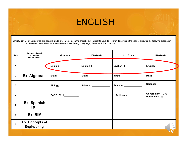## ENGLISH

*Directions:* Courses required at <sup>a</sup> specific grade level are noted in the chart below. Students have flexibility in determining the year of study for the following graduation requirements: World History **or** World Geography, Foreign Language, Fine Arts, PE and Health.

| <b>Pds</b>     | <b>High School credits</b><br>earned in<br><b>Middle School</b> | 9 <sup>th</sup> Grade | 10 <sup>th</sup> Grade   | 11 <sup>th</sup> Grade         | 12th Grade                                                |
|----------------|-----------------------------------------------------------------|-----------------------|--------------------------|--------------------------------|-----------------------------------------------------------|
| 1              |                                                                 | English I             | English II               | <b>English III</b>             | English: _____                                            |
| $\mathbf{2}$   | Ex. Algebra I                                                   |                       |                          |                                |                                                           |
| $\mathbf{3}$   |                                                                 | <b>Biology</b>        | Science: _______________ | Science: <u>______________</u> | Science:                                                  |
| 4              |                                                                 |                       |                          | <b>U.S. History</b>            | Government $(\frac{1}{2})$ /<br>Economics $(\frac{1}{2})$ |
| 5              | Ex. Spanish<br>181                                              |                       |                          |                                |                                                           |
| 6              | Ex. BIM                                                         |                       |                          |                                |                                                           |
| $\overline{7}$ | <b>Ex. Concepts of</b><br><b>Engineering</b>                    |                       |                          |                                |                                                           |
|                |                                                                 |                       |                          |                                |                                                           |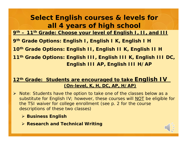#### **Select English courses & levels for all 4 years of high school**

**9th – 11th Grade: Choose your level of English I, II, and III** 

**9th Grade Options: English I, English I K, English I H** 

**10th Grade Options: English II, English II K, English II H**

**11th Grade Options: English III, English III K, English III DC, English III AP, English III H/AP**

#### **12th Grade: Students are encouraged to take English IV (On-level, K, H, DC, AP, H/AP)**

- *Note: Students have the option to take one of the classes below as a substitute for English IV; however, these courses will NOT be eligible for the TSI waiver for college enrollment (see p. 2 for the course descriptions of these two classes)*
	- *Business English*
	- *Research and Technical Writing*